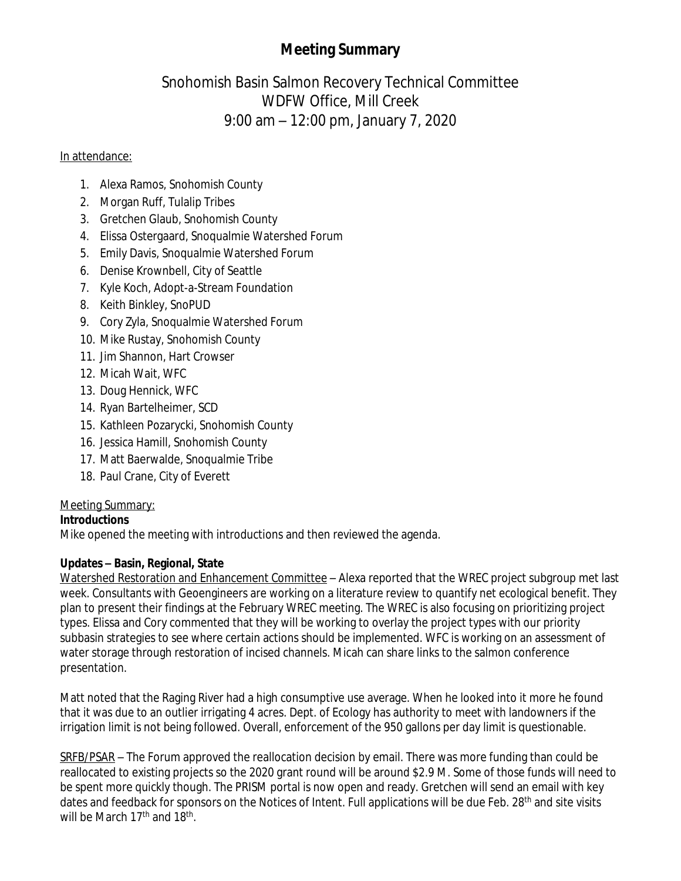# **Meeting Summary**

# Snohomish Basin Salmon Recovery Technical Committee WDFW Office, Mill Creek 9:00 am – 12:00 pm, January 7, 2020

### In attendance:

- 1. Alexa Ramos, Snohomish County
- 2. Morgan Ruff, Tulalip Tribes
- 3. Gretchen Glaub, Snohomish County
- 4. Elissa Ostergaard, Snoqualmie Watershed Forum
- 5. Emily Davis, Snoqualmie Watershed Forum
- 6. Denise Krownbell, City of Seattle
- 7. Kyle Koch, Adopt-a-Stream Foundation
- 8. Keith Binkley, SnoPUD
- 9. Cory Zyla, Snoqualmie Watershed Forum
- 10. Mike Rustay, Snohomish County
- 11. Jim Shannon, Hart Crowser
- 12. Micah Wait, WFC
- 13. Doug Hennick, WFC
- 14. Ryan Bartelheimer, SCD
- 15. Kathleen Pozarycki, Snohomish County
- 16. Jessica Hamill, Snohomish County
- 17. Matt Baerwalde, Snoqualmie Tribe
- 18. Paul Crane, City of Everett

# Meeting Summary:

# **Introductions**

Mike opened the meeting with introductions and then reviewed the agenda.

# **Updates – Basin, Regional, State**

Watershed Restoration and Enhancement Committee – Alexa reported that the WREC project subgroup met last week. Consultants with Geoengineers are working on a literature review to quantify net ecological benefit. They plan to present their findings at the February WREC meeting. The WREC is also focusing on prioritizing project types. Elissa and Cory commented that they will be working to overlay the project types with our priority subbasin strategies to see where certain actions should be implemented. WFC is working on an assessment of water storage through restoration of incised channels. Micah can share links to the salmon conference presentation.

Matt noted that the Raging River had a high consumptive use average. When he looked into it more he found that it was due to an outlier irrigating 4 acres. Dept. of Ecology has authority to meet with landowners if the irrigation limit is not being followed. Overall, enforcement of the 950 gallons per day limit is questionable.

SRFB/PSAR – The Forum approved the reallocation decision by email. There was more funding than could be reallocated to existing projects so the 2020 grant round will be around \$2.9 M. Some of those funds will need to be spent more quickly though. The PRISM portal is now open and ready. Gretchen will send an email with key dates and feedback for sponsors on the Notices of Intent. Full applications will be due Feb. 28<sup>th</sup> and site visits will be March 17<sup>th</sup> and 18<sup>th</sup>.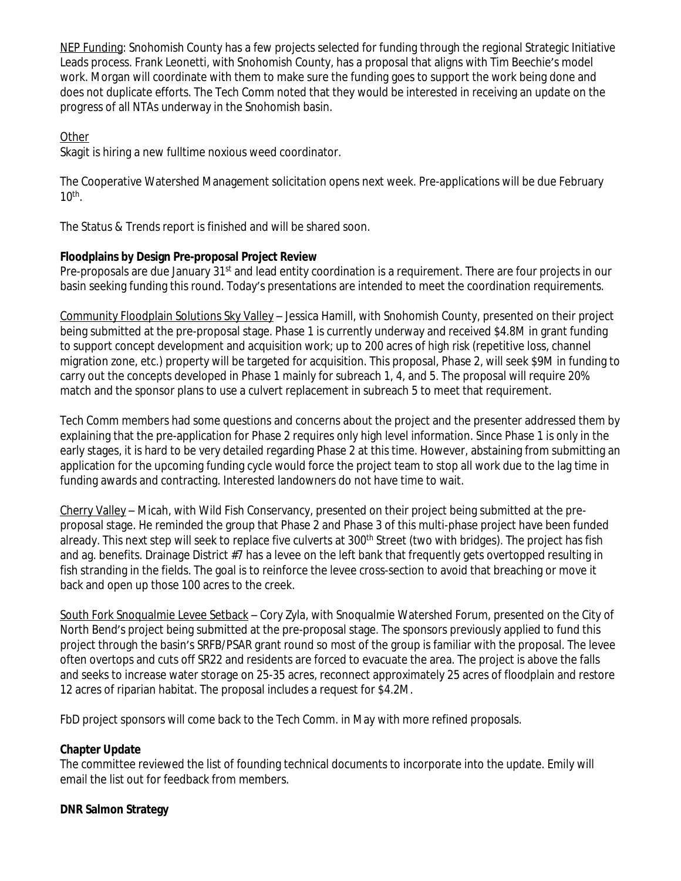NEP Funding: Snohomish County has a few projects selected for funding through the regional Strategic Initiative Leads process. Frank Leonetti, with Snohomish County, has a proposal that aligns with Tim Beechie's model work. Morgan will coordinate with them to make sure the funding goes to support the work being done and does not duplicate efforts. The Tech Comm noted that they would be interested in receiving an update on the progress of all NTAs underway in the Snohomish basin.

## **Other**

Skagit is hiring a new fulltime noxious weed coordinator.

The Cooperative Watershed Management solicitation opens next week. Pre-applications will be due February  $10<sup>th</sup>$ .

The Status & Trends report is finished and will be shared soon.

### **Floodplains by Design Pre-proposal Project Review**

Pre-proposals are due January 31<sup>st</sup> and lead entity coordination is a requirement. There are four projects in our basin seeking funding this round. Today's presentations are intended to meet the coordination requirements.

Community Floodplain Solutions Sky Valley – Jessica Hamill, with Snohomish County, presented on their project being submitted at the pre-proposal stage. Phase 1 is currently underway and received \$4.8M in grant funding to support concept development and acquisition work; up to 200 acres of high risk (repetitive loss, channel migration zone, etc.) property will be targeted for acquisition. This proposal, Phase 2, will seek \$9M in funding to carry out the concepts developed in Phase 1 mainly for subreach 1, 4, and 5. The proposal will require 20% match and the sponsor plans to use a culvert replacement in subreach 5 to meet that requirement.

Tech Comm members had some questions and concerns about the project and the presenter addressed them by explaining that the pre-application for Phase 2 requires only high level information. Since Phase 1 is only in the early stages, it is hard to be very detailed regarding Phase 2 at this time. However, abstaining from submitting an application for the upcoming funding cycle would force the project team to stop all work due to the lag time in funding awards and contracting. Interested landowners do not have time to wait.

Cherry Valley – Micah, with Wild Fish Conservancy, presented on their project being submitted at the preproposal stage. He reminded the group that Phase 2 and Phase 3 of this multi-phase project have been funded already. This next step will seek to replace five culverts at 300<sup>th</sup> Street (two with bridges). The project has fish and ag. benefits. Drainage District #7 has a levee on the left bank that frequently gets overtopped resulting in fish stranding in the fields. The goal is to reinforce the levee cross-section to avoid that breaching or move it back and open up those 100 acres to the creek.

South Fork Snoqualmie Levee Setback – Cory Zyla, with Snoqualmie Watershed Forum, presented on the City of North Bend's project being submitted at the pre-proposal stage. The sponsors previously applied to fund this project through the basin's SRFB/PSAR grant round so most of the group is familiar with the proposal. The levee often overtops and cuts off SR22 and residents are forced to evacuate the area. The project is above the falls and seeks to increase water storage on 25-35 acres, reconnect approximately 25 acres of floodplain and restore 12 acres of riparian habitat. The proposal includes a request for \$4.2M.

FbD project sponsors will come back to the Tech Comm. in May with more refined proposals.

#### **Chapter Update**

The committee reviewed the list of founding technical documents to incorporate into the update. Emily will email the list out for feedback from members.

#### **DNR Salmon Strategy**